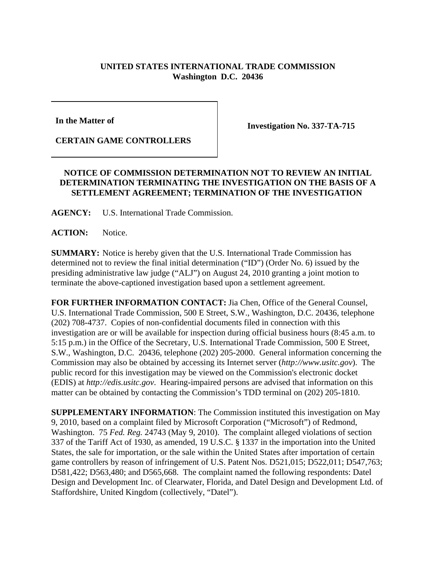## **UNITED STATES INTERNATIONAL TRADE COMMISSION Washington D.C. 20436**

**In the Matter of** 

**Investigation No. 337-TA-715**

**CERTAIN GAME CONTROLLERS**

## **NOTICE OF COMMISSION DETERMINATION NOT TO REVIEW AN INITIAL DETERMINATION TERMINATING THE INVESTIGATION ON THE BASIS OF A SETTLEMENT AGREEMENT; TERMINATION OF THE INVESTIGATION**

**AGENCY:** U.S. International Trade Commission.

**ACTION:** Notice.

**SUMMARY:** Notice is hereby given that the U.S. International Trade Commission has determined not to review the final initial determination ("ID") (Order No. 6) issued by the presiding administrative law judge ("ALJ") on August 24, 2010 granting a joint motion to terminate the above-captioned investigation based upon a settlement agreement.

**FOR FURTHER INFORMATION CONTACT:** Jia Chen, Office of the General Counsel, U.S. International Trade Commission, 500 E Street, S.W., Washington, D.C. 20436, telephone (202) 708-4737. Copies of non-confidential documents filed in connection with this investigation are or will be available for inspection during official business hours (8:45 a.m. to 5:15 p.m.) in the Office of the Secretary, U.S. International Trade Commission, 500 E Street, S.W., Washington, D.C. 20436, telephone (202) 205-2000. General information concerning the Commission may also be obtained by accessing its Internet server (*http://www.usitc.gov*). The public record for this investigation may be viewed on the Commission's electronic docket (EDIS) at *http://edis.usitc.gov*. Hearing-impaired persons are advised that information on this matter can be obtained by contacting the Commission's TDD terminal on (202) 205-1810.

**SUPPLEMENTARY INFORMATION**: The Commission instituted this investigation on May 9, 2010, based on a complaint filed by Microsoft Corporation ("Microsoft") of Redmond, Washington. 75 *Fed. Reg.* 24743 (May 9, 2010). The complaint alleged violations of section 337 of the Tariff Act of 1930, as amended, 19 U.S.C. § 1337 in the importation into the United States, the sale for importation, or the sale within the United States after importation of certain game controllers by reason of infringement of U.S. Patent Nos. D521,015; D522,011; D547,763; D581,422; D563,480; and D565,668. The complaint named the following respondents: Datel Design and Development Inc. of Clearwater, Florida, and Datel Design and Development Ltd. of Staffordshire, United Kingdom (collectively, "Datel").